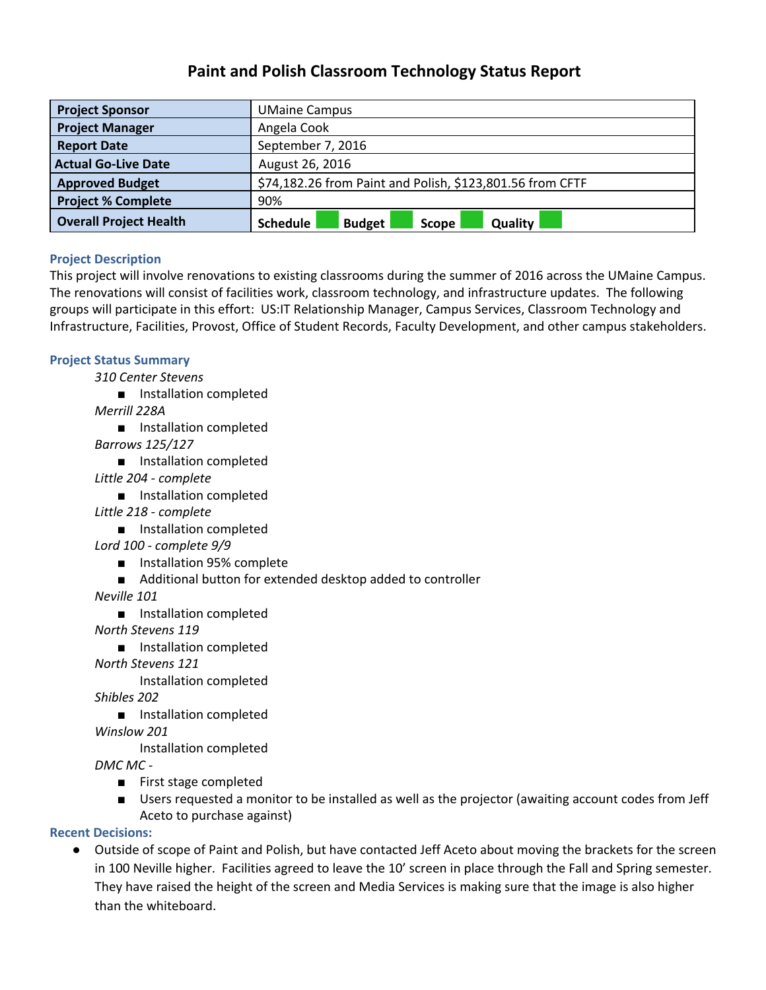# **Paint and Polish Classroom Technology Status Report**

| <b>Project Sponsor</b>        | <b>UMaine Campus</b>                                      |
|-------------------------------|-----------------------------------------------------------|
| <b>Project Manager</b>        | Angela Cook                                               |
| <b>Report Date</b>            | September 7, 2016                                         |
| <b>Actual Go-Live Date</b>    | August 26, 2016                                           |
| <b>Approved Budget</b>        | \$74,182.26 from Paint and Polish, \$123,801.56 from CFTF |
| <b>Project % Complete</b>     | 90%                                                       |
| <b>Overall Project Health</b> | Quality<br>Schedule<br><b>Budget</b><br>Scope             |

## **Project Description**

This project will involve renovations to existing classrooms during the summer of 2016 across the UMaine Campus. The renovations will consist of facilities work, classroom technology, and infrastructure updates. The following groups will participate in this effort: US:IT Relationship Manager, Campus Services, Classroom Technology and Infrastructure, Facilities, Provost, Office of Student Records, Faculty Development, and other campus stakeholders.

## **Project Status Summary**

*310 Center Stevens*

■ Installation completed

*Merrill 228A*

■ Installation completed

*Barrows 125/127*

- Installation completed
- *Little 204 complete*
	- Installation completed
- *Little 218 complete*
	- Installation completed

*Lord 100 complete 9/9*

- Installation 95% complete
- Additional button for extended desktop added to controller

*Neville 101*

■ Installation completed

*North Stevens 119*

■ Installation completed

*North Stevens 121*

Installation completed

*Shibles 202*

■ Installation completed

*Winslow 201*

Installation completed

*DMC MC* 

- First stage completed
- Users requested a monitor to be installed as well as the projector (awaiting account codes from Jeff Aceto to purchase against)

**Recent Decisions:**

● Outside of scope of Paint and Polish, but have contacted Jeff Aceto about moving the brackets for the screen in 100 Neville higher. Facilities agreed to leave the 10' screen in place through the Fall and Spring semester. They have raised the height of the screen and Media Services is making sure that the image is also higher than the whiteboard.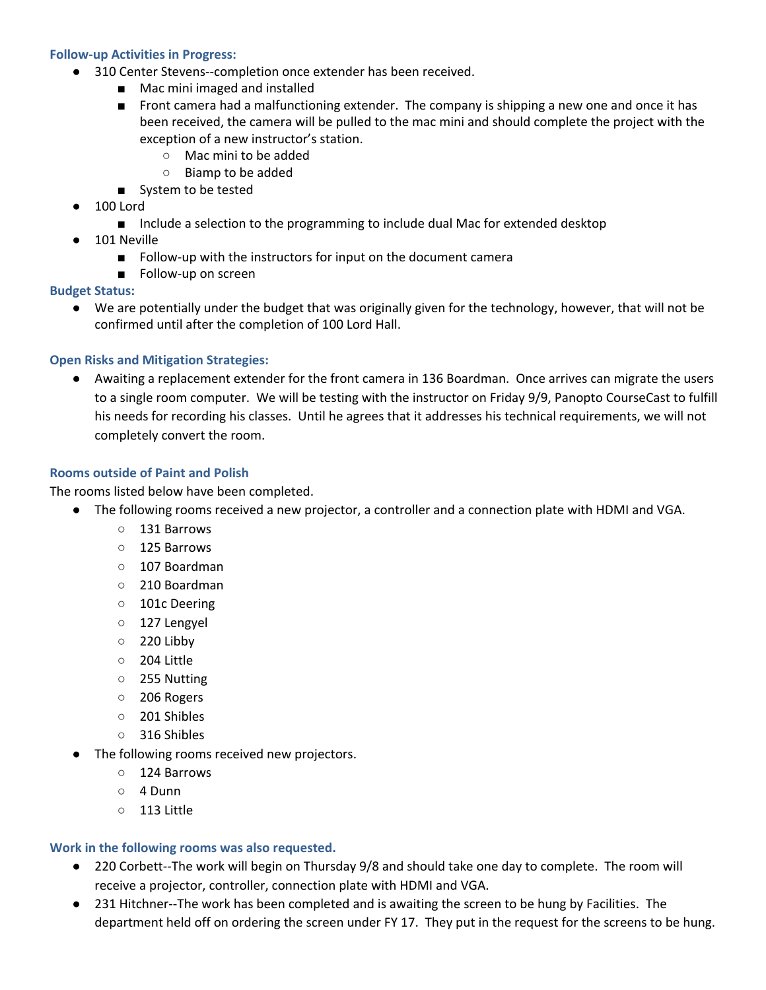#### **Followup Activities in Progress:**

- 310 Center Stevens--completion once extender has been received.
	- Mac mini imaged and installed
	- Front camera had a malfunctioning extender. The company is shipping a new one and once it has been received, the camera will be pulled to the mac mini and should complete the project with the exception of a new instructor's station.
		- Mac mini to be added
		- Biamp to be added
	- System to be tested
- 100 Lord
	- Include a selection to the programming to include dual Mac for extended desktop
- 101 Neville
	- Follow-up with the instructors for input on the document camera
	- Follow-up on screen

#### **Budget Status:**

● We are potentially under the budget that was originally given for the technology, however, that will not be confirmed until after the completion of 100 Lord Hall.

### **Open Risks and Mitigation Strategies:**

● Awaiting a replacement extender for the front camera in 136 Boardman. Once arrives can migrate the users to a single room computer. We will be testing with the instructor on Friday 9/9, Panopto CourseCast to fulfill his needs for recording his classes. Until he agrees that it addresses his technical requirements, we will not completely convert the room.

#### **Rooms outside of Paint and Polish**

The rooms listed below have been completed.

- The following rooms received a new projector, a controller and a connection plate with HDMI and VGA.
	- 131 Barrows
	- 125 Barrows
	- 107 Boardman
	- 210 Boardman
	- 101c Deering
	- 127 Lengyel
	- 220 Libby
	- 204 Little
	- 255 Nutting
	- 206 Rogers
	- 201 Shibles
	- 316 Shibles
- The following rooms received new projectors.
	- 124 Barrows
	- 4 Dunn
	- 113 Little

#### **Work in the following rooms was also requested.**

- 220 Corbett--The work will begin on Thursday 9/8 and should take one day to complete. The room will receive a projector, controller, connection plate with HDMI and VGA.
- 231 Hitchner--The work has been completed and is awaiting the screen to be hung by Facilities. The department held off on ordering the screen under FY 17. They put in the request for the screens to be hung.